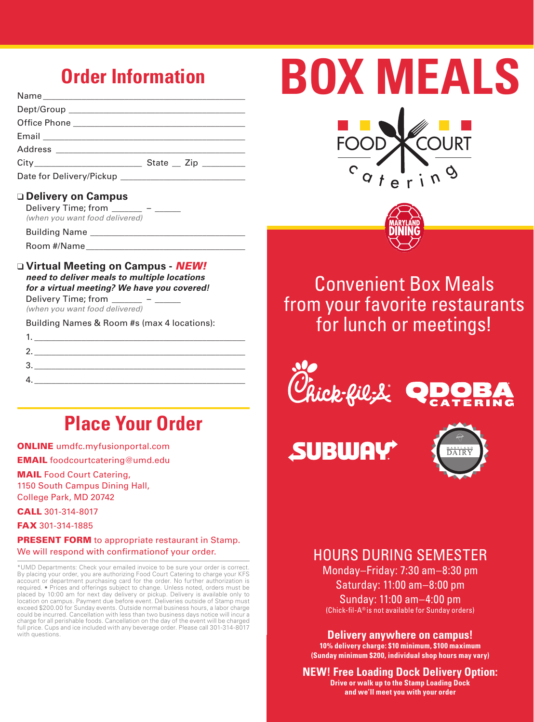## **Order Information**

| State $_$ Zip $_$ |
|-------------------|
|                   |

#### ❑ **Delivery on Campus**

| Delivery Time; from            |  |
|--------------------------------|--|
| (when you want food delivered) |  |

Building Name \_

Room #/Name

❑ **Virtual Meeting on Campus -** *NEW! need to deliver meals to multiple locations for a virtual meeting? We have you covered!* Delivery Time: from

*(when you want food delivered)*

Building Names & Room #s (max 4 locations):

| 1. |  |  |
|----|--|--|
| 2. |  |  |
| 3  |  |  |
| 4  |  |  |
|    |  |  |

## **Place Your Order**

ONLINE umdfc.myfusionportal.com

EMAIL foodcourtcatering@umd.edu

MAIL Food Court Catering, 1150 South Campus Dining Hall, College Park, MD 20742

### CALL 301-314-8017

FAX 301-314-1885

**PRESENT FORM** to appropriate restaurant in Stamp. We will respond with confirmationof your order.

\*UMD Departments: Check your emailed invoice to be sure your order is correct. By placing your order, you are authorizing Food Court Catering to charge your KFS account or department purchasing card for the order. No further authorization is required. • Prices and offerings subject to change. Unless noted, orders must be placed by 10:00 am for next day delivery or pickup. Delivery is available only to location on campus. Payment due before event. Deliveries outside of Stamp must exceed \$200.00 for Sunday events. Outside normal business hours, a labor charge could be incurred. Cancellation with less than two business days notice will incur a charge for all perishable foods. Cancellation on the day of the event will be charged full price. Cups and ice included with any beverage order. Please call 301-314-8017 with questions.





Convenient Box Meals from your favorite restaurants for lunch or meetings!



**SUBWA** 



## HOURS DURING SEMESTER

Monday–Friday: 7:30 am–8:30 pm Saturday: 11:00 am–8:00 pm Sunday: 11:00 am–4:00 pm (Chick-fil-A® is not available for Sunday orders)

**Delivery anywhere on campus!** 

**10% delivery charge: \$10 minimum, \$100 maximum (Sunday minimum \$200, individual shop hours may vary)**

**NEW! Free Loading Dock Delivery Option: Drive or walk up to the Stamp Loading Dock** 

**and we'll meet you with your order**